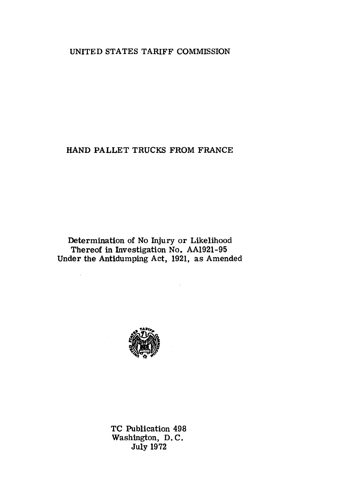# UNITED STATES TARIFF COMMISSION

# HAND PALLET TRUCKS FROM FRANCE

Determination of No Injury or Likelihood Thereof in Investigation No. AA1921-95 Under the Antidumping Act, 1921, as Amended

 $\mathbb{R}^2$ 



TC Publication 498 Washington, D. C. July 1972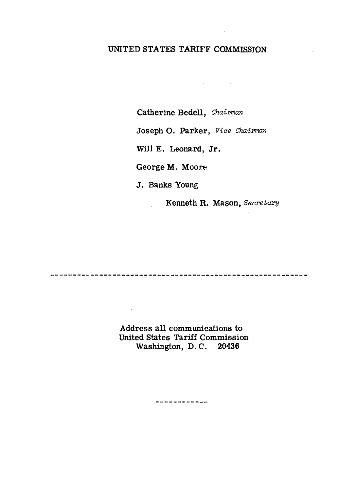## UNITED STATES TARIFF COMMISSION

Catherine Bedell, *Chaiman* 

Joseph 0. Parker, *Vice Chairman* 

 $\mathcal{L}(\mathbf{X})$  and  $\mathcal{L}(\mathbf{X})$  and  $\mathcal{L}(\mathbf{X})$ 

Will E. Leonard, Jr.

George M. Moore

J. Banks Young

Kenneth R. Mason, *Secretary* 

 $\sim 10^{11}$ 

 $\sim 10^{-1}$ 

Address all communications to United States Tariff Commission Washington, D. C. 20436

------------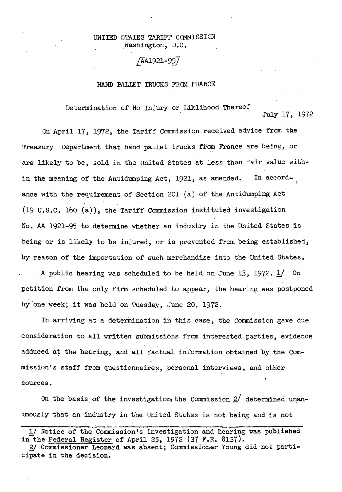## UNITED STATES TARIFF COMMISSION Washington, D.C.

## /AA1921-957

### HAND PALLET TRUCKS FRCM FRANCE

Determination of No Injury or Liklihood Thereof

July 17, 1972

On April 17, 1972, the Tariff Commission received advice from the Treasury Department that hand pallet trucks from France are being, or are likely to be, sold in the United States at less than fair value within the meaning of the Antidumping Act, 1921, as amended. In accordance with the requirement of Section 201 (a) of the Antidumping Act (19 u.s.c. 160 (a)), the Tariff Commission instituted investigation No. AA 1921-95 to determine whether an industry in the United States is being or is likely to be injured, or is prevented from being established, by reason of the importation of such merchandise into the United States. A public hearing was scheduled to be held on June 13, 1972.  $\frac{1}{2}$  On petition from the only firm scheduled to appear, the hearing was postponed by'one week; it was held on Tuesday, June 20, 1972.

In arriving at a determination in this case, the Commission gave due consideration to all written submissions from interested parties, evidence adduced at the hearing, and all factual information obtained by the Commission's staff from questionnaire?, personal interviews, and other sources.

On the basis of the investigation, the Commission  $2/$  determined unanimously that an industry in the United States is not being and is not

l/ Notice of the Commissionts investigation and hearing was published in the Federal Register of April 25, 1972 (37 F.R. 8137).

<sup>2/</sup> Commissioner Leonard was absent; Commissioner Young did not participate in the decision.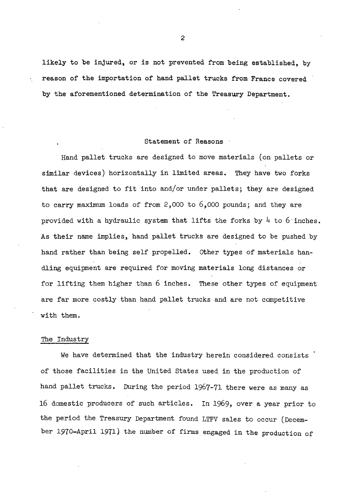likely to be injured, or is not prevented from being established, by reason of the importation of hand pallet trucks from France covered by the aforementioned determination of the Treasury Department.

#### Statement of Reasons

Hand pallet trucks are designed to move materials (on pallets or similar devices) horizontally in limited areas. They have two forks that are designed to fit into and/or under pallets; they are designed to carry maximum loads of from  $2,000$  to  $6,000$  pounds; and they are provided with a hydraulic system that lifts the forks by  $4$  to  $6$  inches. As their name implies, hand pallet trucks are designed to be pushed by hand rather than being self propelled. other types of materials handling equipment are required for moving materials long distances or for lifting them higher than 6 inches. These other types of equipment are far more costly than hand pallet trucks and are not competitive with them.

### The Industry

We have determined that the industry herein considered consists ' of those facilities in the United States used in the production of hand pallet trucks. During the period 1967-71 there were as many as 16 domestic producers of such articles. In 1969, over a year prior to the period the Treasury Department found LTFV sales to occur (December 1970-April 1971) the number of firms engaged in the production of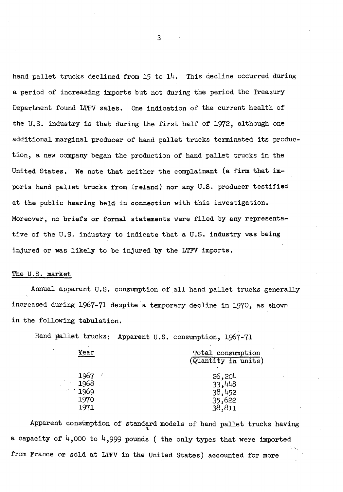hand pallet trucks declined from 15 to 14. This decline occurred during a period of increasing imports but not during the period the Treasury Department found LTFV sales. One indication of the current health of the U.S. industry is that during the first half of 1972, although one additional marginal producer of hand pallet trucks terminated its production, a new company began the production of hand pallet trucks in the United States. We note that neither the complainant (a firm that imports hand pallet trucks from Ireland) nor any U.S. producer testified at the public hearing held in connection with this investigation. Moreover, no briefs or formal statements were filed by any representative of the U.S. industry to indicate that a U.S. industry was being injured or was likely to be injured by the LTFV imports.

## The U.S. market

Annual apparent U.S. consumption of all hand pallet trucks generally increased during 1967-71 despite a temporary decline in 1970, as shown in the following tabulation.

Hand pallet trucks: Apparent U.S. consumption, 1967-71

| Year    | Total consumption<br>(Quantity in units) |
|---------|------------------------------------------|
| 1967    | 26,204                                   |
| 1968    | 33,448                                   |
| . 1969  | 38,452                                   |
| $-1970$ | 35,622                                   |
| 1971    | 38,811                                   |

Apparent consumption of standard models of hand pallet trucks having a capacity of  $4,000$  to  $4,999$  pounds ( the only types that were imported from France or sold at LTFV in the United States) accounted for more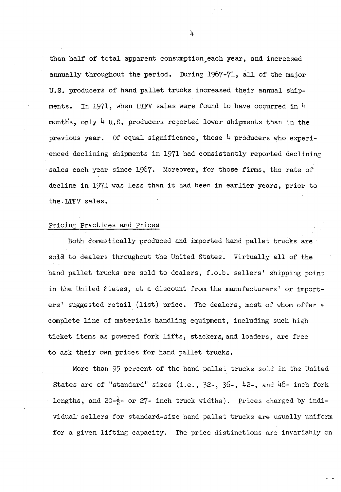than half of total apparent consumption,each year, and increased annually throughout the period. During 1967-71, all of the major U.S. producers of hand pallet trucks increased their annual shipments. In 1971, when LTFV sales were found to have occurred in  $4$ months, only  $4 \text{ U.S.}$  produces reported lower shipments than in theprevious year. Of equal significance, those  $4$  producers who experienced declining shipments in 1971 had consistantly reported declining sales each year since 1967. Moreover, for those firms, the rate of decline in 1971 was less than it had been in earlier years, prior to the, LTFV sales.

## Pricing Practices and Prices

Both domestically produced and imported hand pallet trucks are sold to dealers throughout the United States. Virtually all of the hand pallet trucks are sold to dealers, f.o.b. sellers' shipping point in the United States, at a discount from the manufacturers' or importers' suggested retail (list) price. The dealers, most. of whom offer a complete line of materials handling equipment, including such high ticket items as powered fork lifts, stackers,and loaders, are free to ask their own prices for hand pallet trucks.

More than 95 percent of the hand pallet trucks sold in the United States are of "standard" sizes (i.e.,  $32$ -,  $36$ -,  $42$ -, and  $48$ - inch fork lengths, and 20- $\frac{1}{2}$ - or 27- inch truck widths). Prices charged by individual sellers for standard-size hand pallet trucks are usually uniform for a given lifting capacity. The price distinctions are invariably on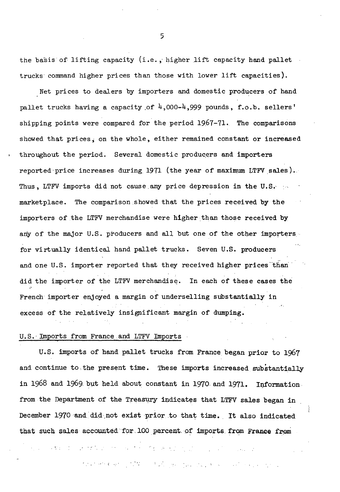the basis of lifting capacity (i.e., higher lift capacity hand pallet trucks command higher prices than those with lower lift capacities).

Net prices to dealers by importers and domestic producers of hand pallet trucks having a capacity of  $4,000-4,999$  pounds, f.o.b. sellers' shipping points were compared for the period  $1967-71$ . The comparisons showed that prices; on the whole, either remained constant or increased throughout the period. Several domestic producers and importers reported price increases during 1971 (the year of maximum LTFV sales). Thus, LTFV imports did not cause any price depression in the U.S.  $\cdot$ marketplace. The comparison .showed that the prices received by the importers of the LTFV merchandise were higher than those received by any of the major U.S. producers and all but one of the other importers. for virtually identical hand pallet trucks. Seven U.S. producers and one U.S. importer reported that they received higher prices than did the importer of the LTFV merchandise. In each of these cases the French importer enjoyed a margin of underselling substantially in excess of the relatively insignificant margin of dumping.

## U.S. Imports from France and LTFV Imports

U.S. imports of hand pallet trucks from France began prior to 1967 and continue to the present time. These imports increased substantially in 1968 and 1969 but held about constant in 1970 and 1971. Information. from the Department of the Treasury indicates that LTFV sales began in December 1970 and did not exist prior to that time. It also indicated that such sales accounted for 100 percent of imports from France from

and a band of the section of the section of the section of the control of the section

that means of the control you have a second control of the